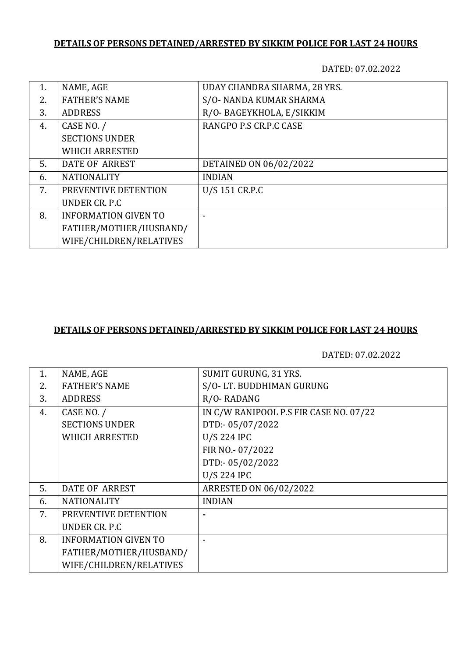# **DETAILS OF PERSONS DETAINED/ARRESTED BY SIKKIM POLICE FOR LAST 24 HOURS**

DATED: 07.02.2022

| 1. | NAME, AGE                   | UDAY CHANDRA SHARMA, 28 YRS. |
|----|-----------------------------|------------------------------|
| 2. | <b>FATHER'S NAME</b>        | S/O-NANDA KUMAR SHARMA       |
| 3. | <b>ADDRESS</b>              | R/O- BAGEYKHOLA, E/SIKKIM    |
| 4. | CASE NO. /                  | RANGPO P.S CR.P.C CASE       |
|    | <b>SECTIONS UNDER</b>       |                              |
|    | <b>WHICH ARRESTED</b>       |                              |
| 5. | DATE OF ARREST              | DETAINED ON 06/02/2022       |
| 6. | <b>NATIONALITY</b>          | <b>INDIAN</b>                |
| 7. | PREVENTIVE DETENTION        | U/S 151 CR.P.C               |
|    | UNDER CR. P.C.              |                              |
| 8. | <b>INFORMATION GIVEN TO</b> |                              |
|    | FATHER/MOTHER/HUSBAND/      |                              |
|    | WIFE/CHILDREN/RELATIVES     |                              |

#### **DETAILS OF PERSONS DETAINED/ARRESTED BY SIKKIM POLICE FOR LAST 24 HOURS**

DATED: 07.02.2022

| NAME, AGE                   | <b>SUMIT GURUNG, 31 YRS.</b>           |
|-----------------------------|----------------------------------------|
| <b>FATHER'S NAME</b>        | S/O-LT. BUDDHIMAN GURUNG               |
| <b>ADDRESS</b>              | R/O-RADANG                             |
| CASE NO. /                  | IN C/W RANIPOOL P.S FIR CASE NO. 07/22 |
| <b>SECTIONS UNDER</b>       | DTD:-05/07/2022                        |
| <b>WHICH ARRESTED</b>       | <b>U/S 224 IPC</b>                     |
|                             | FIR NO.- 07/2022                       |
|                             | DTD:-05/02/2022                        |
|                             | <b>U/S 224 IPC</b>                     |
| <b>DATE OF ARREST</b>       | ARRESTED ON 06/02/2022                 |
| <b>NATIONALITY</b>          | <b>INDIAN</b>                          |
| PREVENTIVE DETENTION        |                                        |
| UNDER CR. P.C               |                                        |
| <b>INFORMATION GIVEN TO</b> |                                        |
| FATHER/MOTHER/HUSBAND/      |                                        |
| WIFE/CHILDREN/RELATIVES     |                                        |
|                             |                                        |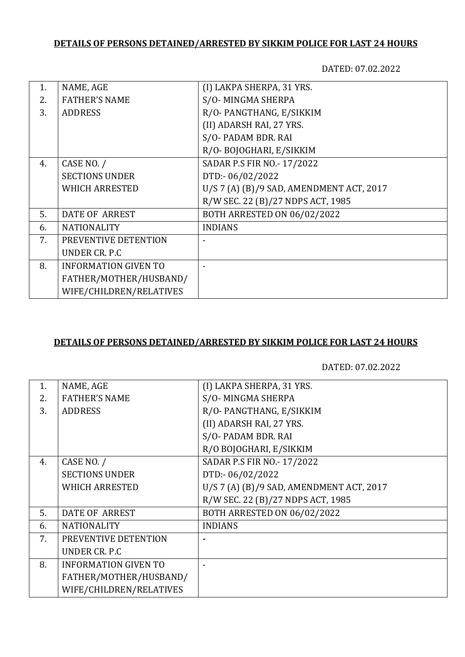# **DETAILS OF PERSONS DETAINED/ARRESTED BY SIKKIM POLICE FOR LAST 24 HOURS**

DATED: 07.02.2022

| 1. | NAME, AGE                   | (I) LAKPA SHERPA, 31 YRS.                |
|----|-----------------------------|------------------------------------------|
| 2. | <b>FATHER'S NAME</b>        | S/O-MINGMA SHERPA                        |
| 3. | <b>ADDRESS</b>              | R/O-PANGTHANG, E/SIKKIM                  |
|    |                             | (II) ADARSH RAI, 27 YRS.                 |
|    |                             | S/O-PADAM BDR. RAI                       |
|    |                             | R/O-BOJOGHARI, E/SIKKIM                  |
| 4. | CASE NO. /                  | SADAR P.S FIR NO.- 17/2022               |
|    | <b>SECTIONS UNDER</b>       | DTD:-06/02/2022                          |
|    | <b>WHICH ARRESTED</b>       | U/S 7 (A) (B)/9 SAD, AMENDMENT ACT, 2017 |
|    |                             | R/W SEC. 22 (B)/27 NDPS ACT, 1985        |
| 5. | DATE OF ARREST              | <b>BOTH ARRESTED ON 06/02/2022</b>       |
| 6. | <b>NATIONALITY</b>          | <b>INDIANS</b>                           |
| 7. | PREVENTIVE DETENTION        |                                          |
|    | UNDER CR. P.C.              |                                          |
| 8. | <b>INFORMATION GIVEN TO</b> |                                          |
|    | FATHER/MOTHER/HUSBAND/      |                                          |
|    | WIFE/CHILDREN/RELATIVES     |                                          |

#### **DETAILS OF PERSONS DETAINED/ARRESTED BY SIKKIM POLICE FOR LAST 24 HOURS**

DATED: 07.02.2022

| 1. | NAME, AGE                   | (I) LAKPA SHERPA, 31 YRS.                |
|----|-----------------------------|------------------------------------------|
| 2. | <b>FATHER'S NAME</b>        | S/O-MINGMA SHERPA                        |
| 3. | <b>ADDRESS</b>              | R/O-PANGTHANG, E/SIKKIM                  |
|    |                             | (II) ADARSH RAI, 27 YRS.                 |
|    |                             | S/O-PADAM BDR. RAI                       |
|    |                             | R/O BOJOGHARI, E/SIKKIM                  |
| 4. | CASE NO. /                  | SADAR P.S FIR NO.- 17/2022               |
|    | <b>SECTIONS UNDER</b>       | DTD:-06/02/2022                          |
|    | <b>WHICH ARRESTED</b>       | U/S 7 (A) (B)/9 SAD, AMENDMENT ACT, 2017 |
|    |                             | R/W SEC. 22 (B)/27 NDPS ACT, 1985        |
| 5. | <b>DATE OF ARREST</b>       | <b>BOTH ARRESTED ON 06/02/2022</b>       |
| 6. | <b>NATIONALITY</b>          | <b>INDIANS</b>                           |
| 7. | PREVENTIVE DETENTION        |                                          |
|    | UNDER CR. P.C               |                                          |
| 8. | <b>INFORMATION GIVEN TO</b> |                                          |
|    | FATHER/MOTHER/HUSBAND/      |                                          |
|    | WIFE/CHILDREN/RELATIVES     |                                          |